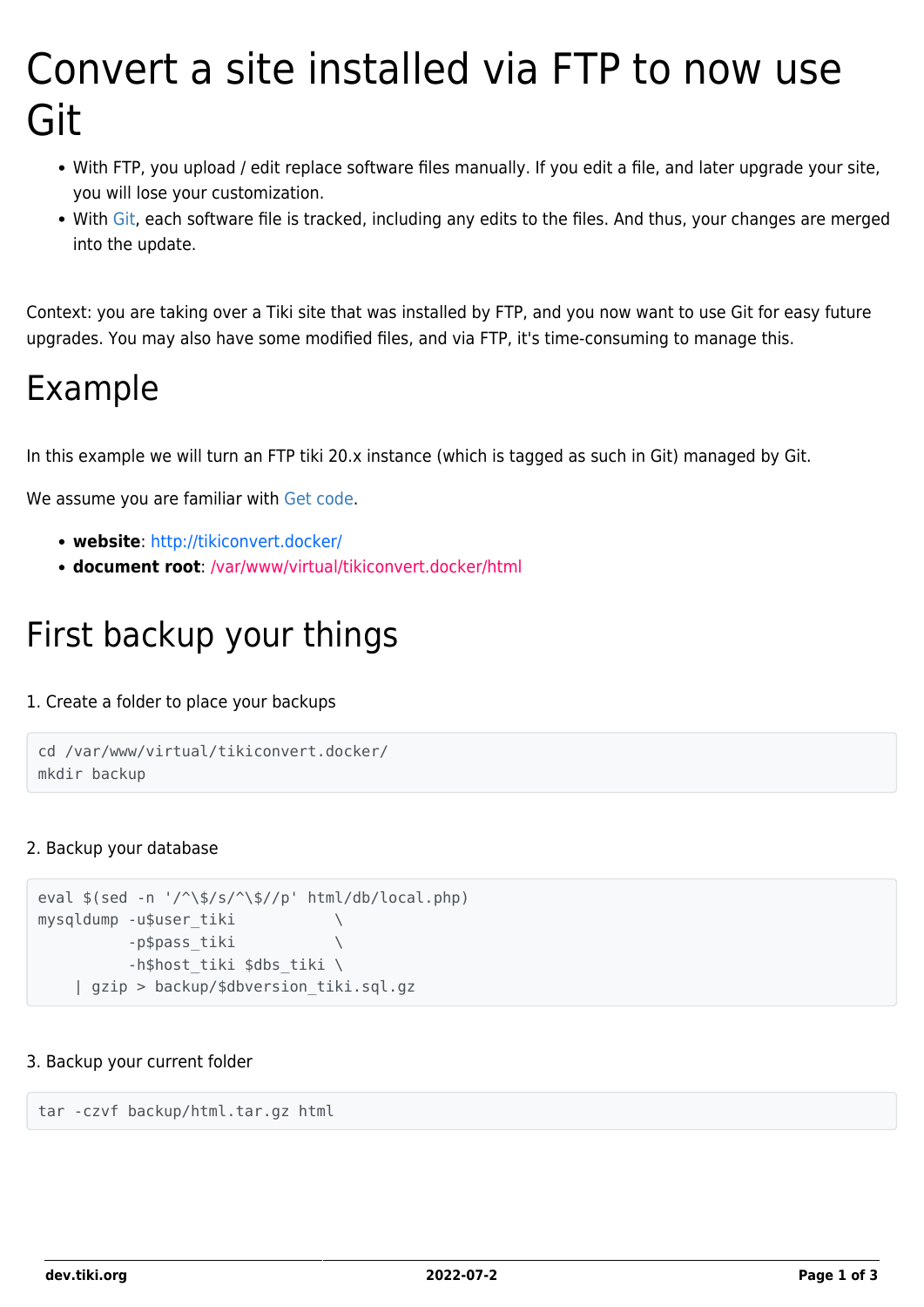# Convert a site installed via FTP to now use Git

- With FTP, you upload / edit replace software files manually. If you edit a file, and later upgrade your site, you will lose your customization.
- With [Git](https://en.wikipedia.org/wiki/Git), each software file is tracked, including any edits to the files. And thus, your changes are merged into the update.

Context: you are taking over a Tiki site that was installed by FTP, and you now want to use Git for easy future upgrades. You may also have some modified files, and via FTP, it's time-consuming to manage this.

# Example

In this example we will turn an FTP tiki 20.x instance (which is tagged as such in Git) managed by Git.

We assume you are familiar with [Get code.](https://dev.tiki.org/Get-code)

- **website**: http://tikiconvert.docker/
- **document root**: /var/www/virtual/tikiconvert.docker/html

# First backup your things

#### 1. Create a folder to place your backups

```
cd /var/www/virtual/tikiconvert.docker/
mkdir backup
```
#### 2. Backup your database

```
eval $(sed -n '/^\$/s/^\$//p' html/db/local.php)
mysqldump -u$user_tiki \
        -p$pass_tiki \
         -h$host tiki $dbs tiki \
    | gzip > backup/$dbversion_tiki.sql.gz
```
#### 3. Backup your current folder

tar -czvf backup/html.tar.gz html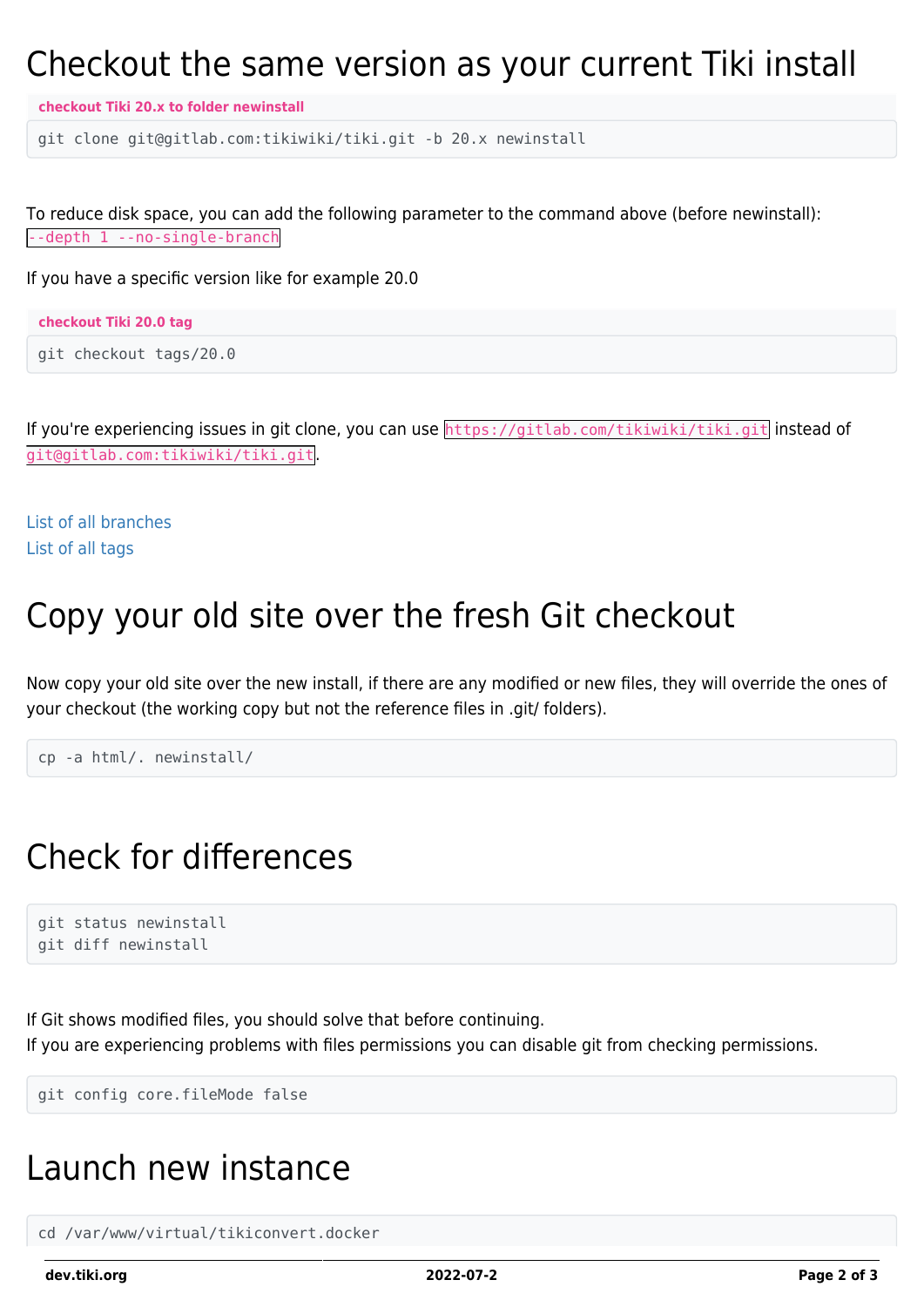### Checkout the same version as your current Tiki install

**checkout Tiki 20.x to folder newinstall**

git clone git@gitlab.com:tikiwiki/tiki.git -b 20.x newinstall

To reduce disk space, you can add the following parameter to the command above (before newinstall): --depth 1 --no-single-branch

If you have a specific version like for example 20.0

| checkout Tiki 20.0 tag |  |  |  |  |
|------------------------|--|--|--|--|
|------------------------|--|--|--|--|

```
git checkout tags/20.0
```
If you're experiencing issues in git clone, you can use https://gitlab.com/tikiwiki/tiki.git instead of git@gitlab.com:tikiwiki/tiki.git.

[List of all branches](https://gitlab.com/tikiwiki/tiki/-/branches) [List of all tags](https://gitlab.com/tikiwiki/tiki/-/tags)

#### Copy your old site over the fresh Git checkout

Now copy your old site over the new install, if there are any modified or new files, they will override the ones of your checkout (the working copy but not the reference files in .git/ folders).

```
cp -a html/. newinstall/
```
### Check for differences

```
git status newinstall
git diff newinstall
```
If Git shows modified files, you should solve that before continuing. If you are experiencing problems with files permissions you can disable git from checking permissions.

git config core.fileMode false

### Launch new instance

cd /var/www/virtual/tikiconvert.docker